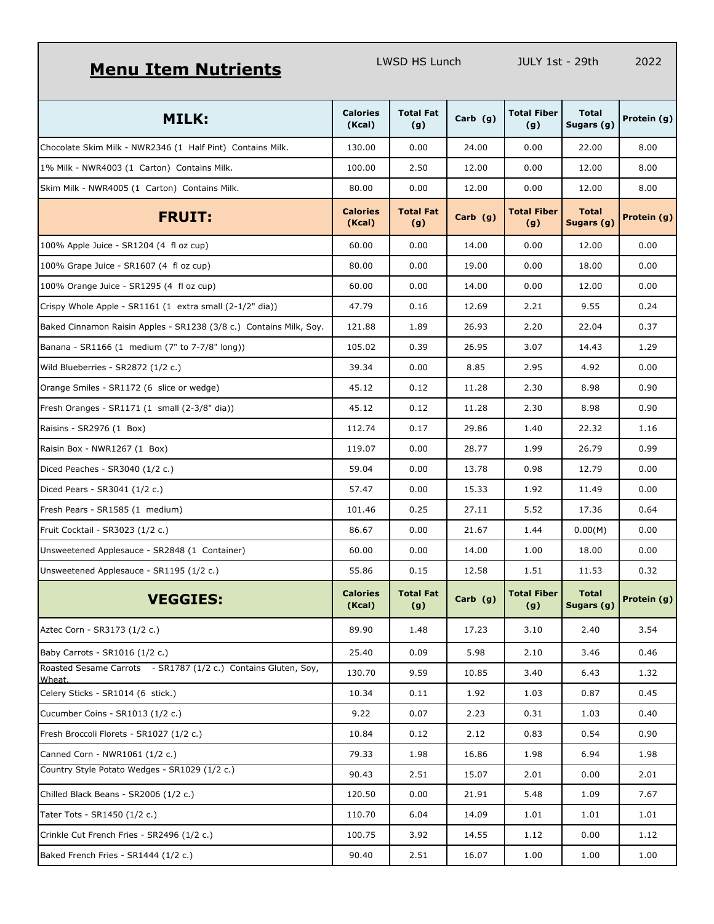## **Menu Item Nutrients** LWSD HS Lunch JULY 1st - 29th 2022

| <b>MILK:</b>                                                             | <b>Calories</b><br>(Kcal) | <b>Total Fat</b><br>(g) | Carb (g)   | <b>Total Fiber</b><br>(g) | <b>Total</b><br>Sugars (g) | Protein (g) |
|--------------------------------------------------------------------------|---------------------------|-------------------------|------------|---------------------------|----------------------------|-------------|
| Chocolate Skim Milk - NWR2346 (1 Half Pint) Contains Milk.               | 130.00                    | 0.00                    | 24.00      | 0.00                      | 22.00                      | 8.00        |
| 1% Milk - NWR4003 (1 Carton) Contains Milk.                              | 100.00                    | 2.50                    | 12.00      | 0.00                      | 12.00                      | 8.00        |
| Skim Milk - NWR4005 (1 Carton) Contains Milk.                            | 80.00                     | 0.00                    | 12.00      | 0.00                      | 12.00                      | 8.00        |
| <b>FRUIT:</b>                                                            | <b>Calories</b><br>(Kcal) | <b>Total Fat</b><br>(g) | Carb (g)   | <b>Total Fiber</b><br>(g) | <b>Total</b><br>Sugars (g) | Protein (g) |
| 100% Apple Juice - SR1204 (4 fl oz cup)                                  | 60.00                     | 0.00                    | 14.00      | 0.00                      | 12.00                      | 0.00        |
| 100% Grape Juice - SR1607 (4 fl oz cup)                                  | 80.00                     | 0.00                    | 19.00      | 0.00                      | 18.00                      | 0.00        |
| 100% Orange Juice - SR1295 (4 fl oz cup)                                 | 60.00                     | 0.00                    | 14.00      | 0.00                      | 12.00                      | 0.00        |
| Crispy Whole Apple - SR1161 (1 extra small (2-1/2" dia))                 | 47.79                     | 0.16                    | 12.69      | 2.21                      | 9.55                       | 0.24        |
| Baked Cinnamon Raisin Apples - SR1238 (3/8 c.) Contains Milk, Soy.       | 121.88                    | 1.89                    | 26.93      | 2.20                      | 22.04                      | 0.37        |
| Banana - SR1166 (1 medium (7" to 7-7/8" long))                           | 105.02                    | 0.39                    | 26.95      | 3.07                      | 14.43                      | 1.29        |
| Wild Blueberries - SR2872 (1/2 c.)                                       | 39.34                     | 0.00                    | 8.85       | 2.95                      | 4.92                       | 0.00        |
| Orange Smiles - SR1172 (6 slice or wedge)                                | 45.12                     | 0.12                    | 11.28      | 2.30                      | 8.98                       | 0.90        |
| Fresh Oranges - SR1171 (1 small (2-3/8" dia))                            | 45.12                     | 0.12                    | 11.28      | 2.30                      | 8.98                       | 0.90        |
| Raisins - SR2976 (1 Box)                                                 | 112.74                    | 0.17                    | 29.86      | 1.40                      | 22.32                      | 1.16        |
| Raisin Box - NWR1267 (1 Box)                                             | 119.07                    | 0.00                    | 28.77      | 1.99                      | 26.79                      | 0.99        |
| Diced Peaches - SR3040 (1/2 c.)                                          | 59.04                     | 0.00                    | 13.78      | 0.98                      | 12.79                      | 0.00        |
| Diced Pears - SR3041 (1/2 c.)                                            | 57.47                     | 0.00                    | 15.33      | 1.92                      | 11.49                      | 0.00        |
| Fresh Pears - SR1585 (1 medium)                                          | 101.46                    | 0.25                    | 27.11      | 5.52                      | 17.36                      | 0.64        |
| Fruit Cocktail - SR3023 (1/2 c.)                                         | 86.67                     | 0.00                    | 21.67      | 1.44                      | 0.00(M)                    | 0.00        |
| Unsweetened Applesauce - SR2848 (1 Container)                            | 60.00                     | 0.00                    | 14.00      | 1.00                      | 18.00                      | 0.00        |
| Unsweetened Applesauce - SR1195 (1/2 c.)                                 | 55.86                     | 0.15                    | 12.58      | 1.51                      | 11.53                      | 0.32        |
| <b>VEGGIES:</b>                                                          | <b>Calories</b><br>(Kcal) | <b>Total Fat</b><br>(g) | Carb $(g)$ | Total Fiber<br>(g)        | <b>Total</b><br>Sugars (g) | Protein (g) |
| Aztec Corn - SR3173 (1/2 c.)                                             | 89.90                     | 1.48                    | 17.23      | 3.10                      | 2.40                       | 3.54        |
| Baby Carrots - SR1016 (1/2 c.)                                           | 25.40                     | 0.09                    | 5.98       | 2.10                      | 3.46                       | 0.46        |
| Roasted Sesame Carrots - SR1787 (1/2 c.) Contains Gluten, Soy,<br>Wheat. | 130.70                    | 9.59                    | 10.85      | 3.40                      | 6.43                       | 1.32        |
| Celery Sticks - SR1014 (6 stick.)                                        | 10.34                     | 0.11                    | 1.92       | 1.03                      | 0.87                       | 0.45        |
| Cucumber Coins - SR1013 (1/2 c.)                                         | 9.22                      | 0.07                    | 2.23       | 0.31                      | 1.03                       | 0.40        |
| Fresh Broccoli Florets - SR1027 (1/2 c.)                                 | 10.84                     | 0.12                    | 2.12       | 0.83                      | 0.54                       | 0.90        |
| Canned Corn - NWR1061 (1/2 c.)                                           | 79.33                     | 1.98                    | 16.86      | 1.98                      | 6.94                       | 1.98        |
| Country Style Potato Wedges - SR1029 (1/2 c.)                            | 90.43                     | 2.51                    | 15.07      | 2.01                      | 0.00                       | 2.01        |
| Chilled Black Beans - SR2006 (1/2 c.)                                    | 120.50                    | 0.00                    | 21.91      | 5.48                      | 1.09                       | 7.67        |
| Tater Tots - SR1450 (1/2 c.)                                             | 110.70                    | 6.04                    | 14.09      | 1.01                      | 1.01                       | 1.01        |
| Crinkle Cut French Fries - SR2496 (1/2 c.)                               | 100.75                    | 3.92                    | 14.55      | 1.12                      | 0.00                       | 1.12        |
| Baked French Fries - SR1444 (1/2 c.)                                     | 90.40                     | 2.51                    | 16.07      | 1.00                      | 1.00                       | 1.00        |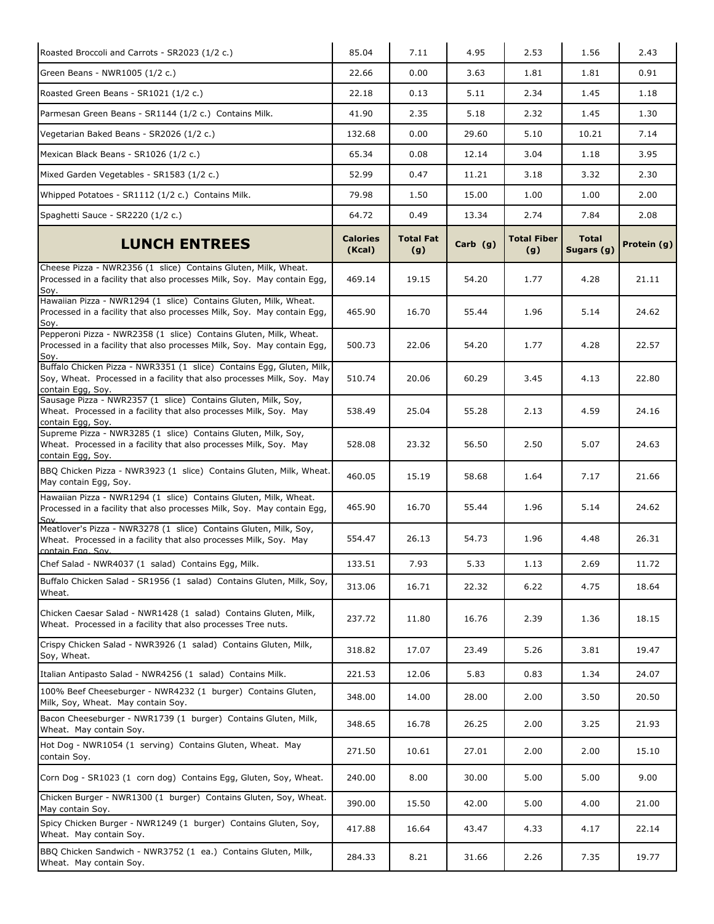| Roasted Broccoli and Carrots - SR2023 (1/2 c.)                                                                                                                       | 85.04                     | 7.11                    | 4.95       | 2.53                      | 1.56                       | 2.43        |
|----------------------------------------------------------------------------------------------------------------------------------------------------------------------|---------------------------|-------------------------|------------|---------------------------|----------------------------|-------------|
| Green Beans - NWR1005 (1/2 c.)                                                                                                                                       | 22.66                     | 0.00                    | 3.63       | 1.81                      | 1.81                       | 0.91        |
| Roasted Green Beans - SR1021 (1/2 c.)                                                                                                                                | 22.18                     | 0.13                    | 5.11       | 2.34                      | 1.45                       | 1.18        |
| Parmesan Green Beans - SR1144 (1/2 c.) Contains Milk.                                                                                                                | 41.90                     | 2.35                    | 5.18       | 2.32                      | 1.45                       | 1.30        |
| Vegetarian Baked Beans - SR2026 (1/2 c.)                                                                                                                             | 132.68                    | 0.00                    | 29.60      | 5.10                      | 10.21                      | 7.14        |
| Mexican Black Beans - SR1026 (1/2 c.)                                                                                                                                | 65.34                     | 0.08                    | 12.14      | 3.04                      | 1.18                       | 3.95        |
| Mixed Garden Vegetables - SR1583 (1/2 c.)                                                                                                                            | 52.99                     | 0.47                    | 11.21      | 3.18                      | 3.32                       | 2.30        |
| Whipped Potatoes - SR1112 (1/2 c.) Contains Milk.                                                                                                                    | 79.98                     | 1.50                    | 15.00      | 1.00                      | 1.00                       | 2.00        |
| Spaghetti Sauce - SR2220 (1/2 c.)                                                                                                                                    | 64.72                     | 0.49                    | 13.34      | 2.74                      | 7.84                       | 2.08        |
| <b>LUNCH ENTREES</b>                                                                                                                                                 | <b>Calories</b><br>(Kcal) | <b>Total Fat</b><br>(g) | Carb $(g)$ | <b>Total Fiber</b><br>(g) | <b>Total</b><br>Sugars (g) | Protein (g) |
| Cheese Pizza - NWR2356 (1 slice) Contains Gluten, Milk, Wheat.<br>Processed in a facility that also processes Milk, Soy. May contain Egg,<br>Soy.                    | 469.14                    | 19.15                   | 54.20      | 1.77                      | 4.28                       | 21.11       |
| Hawaiian Pizza - NWR1294 (1 slice) Contains Gluten, Milk, Wheat.<br>Processed in a facility that also processes Milk, Soy. May contain Egg,<br>Soy.                  | 465.90                    | 16.70                   | 55.44      | 1.96                      | 5.14                       | 24.62       |
| Pepperoni Pizza - NWR2358 (1 slice) Contains Gluten, Milk, Wheat.<br>Processed in a facility that also processes Milk, Soy. May contain Egg,<br>Soy.                 | 500.73                    | 22.06                   | 54.20      | 1.77                      | 4.28                       | 22.57       |
| Buffalo Chicken Pizza - NWR3351 (1 slice) Contains Egg, Gluten, Milk,<br>Soy, Wheat. Processed in a facility that also processes Milk, Soy. May<br>contain Egg, Soy. | 510.74                    | 20.06                   | 60.29      | 3.45                      | 4.13                       | 22.80       |
| Sausage Pizza - NWR2357 (1 slice) Contains Gluten, Milk, Soy,<br>Wheat. Processed in a facility that also processes Milk, Soy. May<br>contain Egg, Soy.              | 538.49                    | 25.04                   | 55.28      | 2.13                      | 4.59                       | 24.16       |
| Supreme Pizza - NWR3285 (1 slice) Contains Gluten, Milk, Soy,<br>Wheat. Processed in a facility that also processes Milk, Soy. May<br>contain Egg, Soy.              | 528.08                    | 23.32                   | 56.50      | 2.50                      | 5.07                       | 24.63       |
| BBQ Chicken Pizza - NWR3923 (1 slice) Contains Gluten, Milk, Wheat.<br>May contain Egg, Soy.                                                                         | 460.05                    | 15.19                   | 58.68      | 1.64                      | 7.17                       | 21.66       |
| Hawaiian Pizza - NWR1294 (1 slice) Contains Gluten, Milk, Wheat.<br>Processed in a facility that also processes Milk, Soy. May contain Egg,<br>Sov.                  | 465.90                    | 16.70                   | 55.44      | 1.96                      | 5.14                       | 24.62       |
| Meatlover's Pizza - NWR3278 (1 slice) Contains Gluten, Milk, Soy,<br>Wheat. Processed in a facility that also processes Milk, Soy. May<br>contain Fog. Sov.          | 554.47                    | 26.13                   | 54.73      | 1.96                      | 4.48                       | 26.31       |
| Chef Salad - NWR4037 (1 salad) Contains Egg, Milk.                                                                                                                   | 133.51                    | 7.93                    | 5.33       | 1.13                      | 2.69                       | 11.72       |
| Buffalo Chicken Salad - SR1956 (1 salad) Contains Gluten, Milk, Soy,<br>Wheat.                                                                                       | 313.06                    | 16.71                   | 22.32      | 6.22                      | 4.75                       | 18.64       |
| Chicken Caesar Salad - NWR1428 (1 salad) Contains Gluten, Milk,<br>Wheat. Processed in a facility that also processes Tree nuts.                                     | 237.72                    | 11.80                   | 16.76      | 2.39                      | 1.36                       | 18.15       |
| Crispy Chicken Salad - NWR3926 (1 salad) Contains Gluten, Milk,<br>Soy, Wheat.                                                                                       | 318.82                    | 17.07                   | 23.49      | 5.26                      | 3.81                       | 19.47       |
| Italian Antipasto Salad - NWR4256 (1 salad) Contains Milk.                                                                                                           | 221.53                    | 12.06                   | 5.83       | 0.83                      | 1.34                       | 24.07       |
| 100% Beef Cheeseburger - NWR4232 (1 burger) Contains Gluten,<br>Milk, Soy, Wheat. May contain Soy.                                                                   | 348.00                    | 14.00                   | 28.00      | 2.00                      | 3.50                       | 20.50       |
| Bacon Cheeseburger - NWR1739 (1 burger) Contains Gluten, Milk,<br>Wheat. May contain Soy.                                                                            | 348.65                    | 16.78                   | 26.25      | 2.00                      | 3.25                       | 21.93       |
| Hot Dog - NWR1054 (1 serving) Contains Gluten, Wheat. May<br>contain Soy.                                                                                            | 271.50                    | 10.61                   | 27.01      | 2.00                      | 2.00                       | 15.10       |
| Corn Dog - SR1023 (1 corn dog) Contains Egg, Gluten, Soy, Wheat.                                                                                                     | 240.00                    | 8.00                    | 30.00      | 5.00                      | 5.00                       | 9.00        |
| Chicken Burger - NWR1300 (1 burger) Contains Gluten, Soy, Wheat.<br>May contain Soy.                                                                                 | 390.00                    | 15.50                   | 42.00      | 5.00                      | 4.00                       | 21.00       |
| Spicy Chicken Burger - NWR1249 (1 burger) Contains Gluten, Soy,<br>Wheat. May contain Soy.                                                                           | 417.88                    | 16.64                   | 43.47      | 4.33                      | 4.17                       | 22.14       |
| BBQ Chicken Sandwich - NWR3752 (1 ea.) Contains Gluten, Milk,<br>Wheat. May contain Soy.                                                                             | 284.33                    | 8.21                    | 31.66      | 2.26                      | 7.35                       | 19.77       |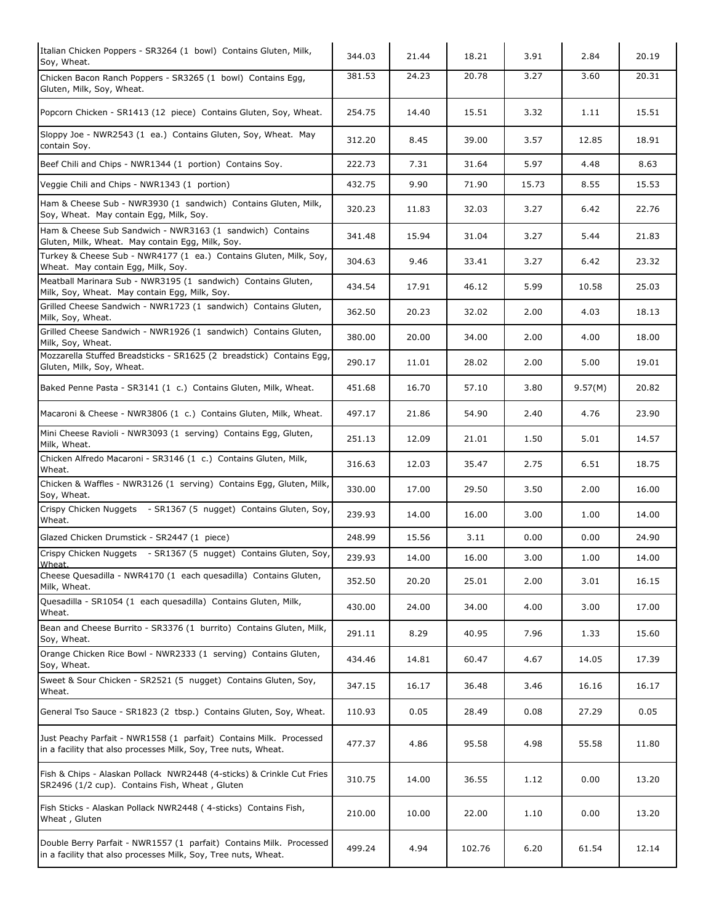| Italian Chicken Poppers - SR3264 (1 bowl) Contains Gluten, Milk,<br>Soy, Wheat.                                                       | 344.03 | 21.44 | 18.21  | 3.91  | 2.84    | 20.19 |
|---------------------------------------------------------------------------------------------------------------------------------------|--------|-------|--------|-------|---------|-------|
| Chicken Bacon Ranch Poppers - SR3265 (1 bowl) Contains Egg,<br>Gluten, Milk, Soy, Wheat.                                              | 381.53 | 24.23 | 20.78  | 3.27  | 3.60    | 20.31 |
| Popcorn Chicken - SR1413 (12 piece) Contains Gluten, Soy, Wheat.                                                                      | 254.75 | 14.40 | 15.51  | 3.32  | 1.11    | 15.51 |
| Sloppy Joe - NWR2543 (1 ea.) Contains Gluten, Soy, Wheat. May<br>contain Soy.                                                         | 312.20 | 8.45  | 39.00  | 3.57  | 12.85   | 18.91 |
| Beef Chili and Chips - NWR1344 (1 portion) Contains Soy.                                                                              | 222.73 | 7.31  | 31.64  | 5.97  | 4.48    | 8.63  |
| Veggie Chili and Chips - NWR1343 (1 portion)                                                                                          | 432.75 | 9.90  | 71.90  | 15.73 | 8.55    | 15.53 |
| Ham & Cheese Sub - NWR3930 (1 sandwich) Contains Gluten, Milk,<br>Soy, Wheat. May contain Egg, Milk, Soy.                             | 320.23 | 11.83 | 32.03  | 3.27  | 6.42    | 22.76 |
| Ham & Cheese Sub Sandwich - NWR3163 (1 sandwich) Contains<br>Gluten, Milk, Wheat. May contain Egg, Milk, Soy.                         | 341.48 | 15.94 | 31.04  | 3.27  | 5.44    | 21.83 |
| Turkey & Cheese Sub - NWR4177 (1 ea.) Contains Gluten, Milk, Soy,<br>Wheat. May contain Egg, Milk, Soy.                               | 304.63 | 9.46  | 33.41  | 3.27  | 6.42    | 23.32 |
| Meatball Marinara Sub - NWR3195 (1 sandwich) Contains Gluten,<br>Milk, Soy, Wheat. May contain Egg, Milk, Soy.                        | 434.54 | 17.91 | 46.12  | 5.99  | 10.58   | 25.03 |
| Grilled Cheese Sandwich - NWR1723 (1 sandwich) Contains Gluten,<br>Milk, Soy, Wheat.                                                  | 362.50 | 20.23 | 32.02  | 2.00  | 4.03    | 18.13 |
| Grilled Cheese Sandwich - NWR1926 (1 sandwich) Contains Gluten,<br>Milk, Soy, Wheat.                                                  | 380.00 | 20.00 | 34.00  | 2.00  | 4.00    | 18.00 |
| Mozzarella Stuffed Breadsticks - SR1625 (2 breadstick) Contains Egg,<br>Gluten, Milk, Soy, Wheat.                                     | 290.17 | 11.01 | 28.02  | 2.00  | 5.00    | 19.01 |
| Baked Penne Pasta - SR3141 (1 c.) Contains Gluten, Milk, Wheat.                                                                       | 451.68 | 16.70 | 57.10  | 3.80  | 9.57(M) | 20.82 |
| Macaroni & Cheese - NWR3806 (1 c.) Contains Gluten, Milk, Wheat.                                                                      | 497.17 | 21.86 | 54.90  | 2.40  | 4.76    | 23.90 |
| Mini Cheese Ravioli - NWR3093 (1 serving) Contains Egg, Gluten,<br>Milk, Wheat.                                                       | 251.13 | 12.09 | 21.01  | 1.50  | 5.01    | 14.57 |
| Chicken Alfredo Macaroni - SR3146 (1 c.) Contains Gluten, Milk,<br>Wheat.                                                             | 316.63 | 12.03 | 35.47  | 2.75  | 6.51    | 18.75 |
| Chicken & Waffles - NWR3126 (1 serving) Contains Egg, Gluten, Milk,<br>Soy, Wheat.                                                    | 330.00 | 17.00 | 29.50  | 3.50  | 2.00    | 16.00 |
| Crispy Chicken Nuggets - SR1367 (5 nugget) Contains Gluten, Soy,<br>Wheat.                                                            | 239.93 | 14.00 | 16.00  | 3.00  | 1.00    | 14.00 |
| Glazed Chicken Drumstick - SR2447 (1 piece)                                                                                           | 248.99 | 15.56 | 3.11   | 0.00  | 0.00    | 24.90 |
| Crispy Chicken Nuggets - SR1367 (5 nugget) Contains Gluten, Soy,<br>Wheat                                                             | 239.93 | 14.00 | 16.00  | 3.00  | 1.00    | 14.00 |
| Cheese Quesadilla - NWR4170 (1 each quesadilla) Contains Gluten,<br>Milk, Wheat.                                                      | 352.50 | 20.20 | 25.01  | 2.00  | 3.01    | 16.15 |
| Quesadilla - SR1054 (1 each quesadilla) Contains Gluten, Milk,<br>Wheat.                                                              | 430.00 | 24.00 | 34.00  | 4.00  | 3.00    | 17.00 |
| Bean and Cheese Burrito - SR3376 (1 burrito) Contains Gluten, Milk,<br>Soy, Wheat.                                                    | 291.11 | 8.29  | 40.95  | 7.96  | 1.33    | 15.60 |
| Orange Chicken Rice Bowl - NWR2333 (1 serving) Contains Gluten,<br>Soy, Wheat.                                                        | 434.46 | 14.81 | 60.47  | 4.67  | 14.05   | 17.39 |
| Sweet & Sour Chicken - SR2521 (5 nugget) Contains Gluten, Soy,<br>Wheat.                                                              | 347.15 | 16.17 | 36.48  | 3.46  | 16.16   | 16.17 |
| General Tso Sauce - SR1823 (2 tbsp.) Contains Gluten, Soy, Wheat.                                                                     | 110.93 | 0.05  | 28.49  | 0.08  | 27.29   | 0.05  |
| Just Peachy Parfait - NWR1558 (1 parfait) Contains Milk. Processed<br>in a facility that also processes Milk, Soy, Tree nuts, Wheat.  | 477.37 | 4.86  | 95.58  | 4.98  | 55.58   | 11.80 |
| Fish & Chips - Alaskan Pollack NWR2448 (4-sticks) & Crinkle Cut Fries<br>SR2496 (1/2 cup). Contains Fish, Wheat, Gluten               | 310.75 | 14.00 | 36.55  | 1.12  | 0.00    | 13.20 |
| Fish Sticks - Alaskan Pollack NWR2448 (4-sticks) Contains Fish,<br>Wheat, Gluten                                                      | 210.00 | 10.00 | 22.00  | 1.10  | 0.00    | 13.20 |
| Double Berry Parfait - NWR1557 (1 parfait) Contains Milk. Processed<br>in a facility that also processes Milk, Soy, Tree nuts, Wheat. | 499.24 | 4.94  | 102.76 | 6.20  | 61.54   | 12.14 |